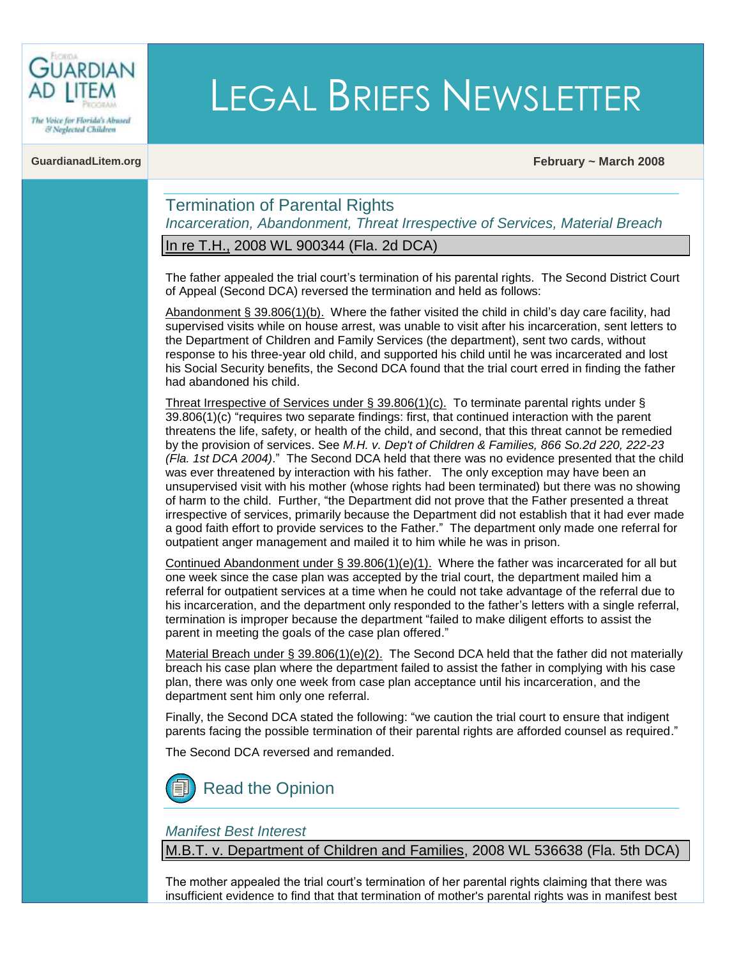

& Neglected Children

# LEGAL BRIEFS NEWSLETTER

**GuardianadLitem.org February ~ March 2008**

# Termination of Parental Rights *Incarceration, Abandonment, Threat Irrespective of Services, Material Breach*

In re T.H., 2008 WL 900344 (Fla. 2d DCA)

The father appealed the trial court"s termination of his parental rights. The Second District Court of Appeal (Second DCA) reversed the termination and held as follows:

Abandonment [§ 39.806\(1\)\(b\).](http://www.flsenate.gov/Statutes/index.cfm?App_mode=Display_Statute&Search_String=&URL=Ch0039/SEC806.HTM&Title=->2007->Ch0039->Section%20806#0039.806) Where the father visited the child in child"s day care facility, had supervised visits while on house arrest, was unable to visit after his incarceration, sent letters to the Department of Children and Family Services (the department), sent two cards, without response to his three-year old child, and supported his child until he was incarcerated and lost his Social Security benefits, the Second DCA found that the trial court erred in finding the father had abandoned his child.

[Threat Irrespective of Services under § 39.806\(1\)\(c\).](http://www.flsenate.gov/Statutes/index.cfm?App_mode=Display_Statute&Search_String=&URL=Ch0039/SEC806.HTM&Title=->2007->Ch0039->Section%20806#0039.806) To terminate parental rights under § [39.806\(1\)\(c\)](http://www.flsenate.gov/Statutes/index.cfm?App_mode=Display_Statute&Search_String=&URL=Ch0039/SEC806.HTM&Title=->2007->Ch0039->Section%20806#0039.806) "requires two separate findings: first, that continued interaction with the parent threatens the life, safety, or health of the child, and second, that this threat cannot be remedied by the provision of services. See *[M.H. v. Dep't of Children & Families,](http://web2.westlaw.com/find/default.wl?tf=-1&rs=WLW8.03&referencepositiontype=S&serialnum=2004168708&sv=Split&fn=_top&findtype=Y&tc=-1&referenceposition=222&db=735&vr=2.0&rp=%2ffind%2fdefault.wl) 866 So.2d 220, 222-23 [\(Fla. 1st DCA 2004\)](http://web2.westlaw.com/find/default.wl?tf=-1&rs=WLW8.03&referencepositiontype=S&serialnum=2004168708&sv=Split&fn=_top&findtype=Y&tc=-1&referenceposition=222&db=735&vr=2.0&rp=%2ffind%2fdefault.wl)*." The Second DCA held that there was no evidence presented that the child was ever threatened by interaction with his father. The only exception may have been an unsupervised visit with his mother (whose rights had been terminated) but there was no showing of harm to the child. Further, "the Department did not prove that the Father presented a threat irrespective of services, primarily because the Department did not establish that it had ever made a good faith effort to provide services to the Father." The department only made one referral for outpatient anger management and mailed it to him while he was in prison.

[Continued Abandonment under](http://www.flsenate.gov/Statutes/index.cfm?App_mode=Display_Statute&Search_String=&URL=Ch0039/SEC806.HTM&Title=->2007->Ch0039->Section%20806#0039.806)  $\S$  39.806[\(1\)\(e\)\(1\).](http://www.flsenate.gov/Statutes/index.cfm?App_mode=Display_Statute&Search_String=&URL=Ch0039/SEC806.HTM&Title=->2007->Ch0039->Section%20806#0039.806) Where the father was incarcerated for all but one week since the case plan was accepted by the trial court, the department mailed him a referral for outpatient services at a time when he could not take advantage of the referral due to his incarceration, and the department only responded to the father"s letters with a single referral, termination is improper because the department "failed to make diligent efforts to assist the parent in meeting the goals of the case plan offered."

Material Breach under  $\S 39.806(1)(e)(2)$ . The Second DCA held that the father did not materially breach his case plan where the department failed to assist the father in complying with his case plan, there was only one week from case plan acceptance until his incarceration, and the department sent him only one referral.

Finally, the Second DCA stated the following: "we caution the trial court to ensure that indigent parents facing the possible termination of their parental rights are afforded counsel as required."

The Second DCA reversed and remanded.

[Read the Opinion](http://www.2dca.org/opinion/April%2004,%202008/2D07-2869.pdf)

# *Manifest Best Interest*

M.B.T. v. Department of Children and Families, 2008 WL 536638 (Fla. 5th DCA)

The mother appealed the trial court's termination of her parental rights claiming that there was insufficient evidence to find that that termination of mother's parental rights was in manifest best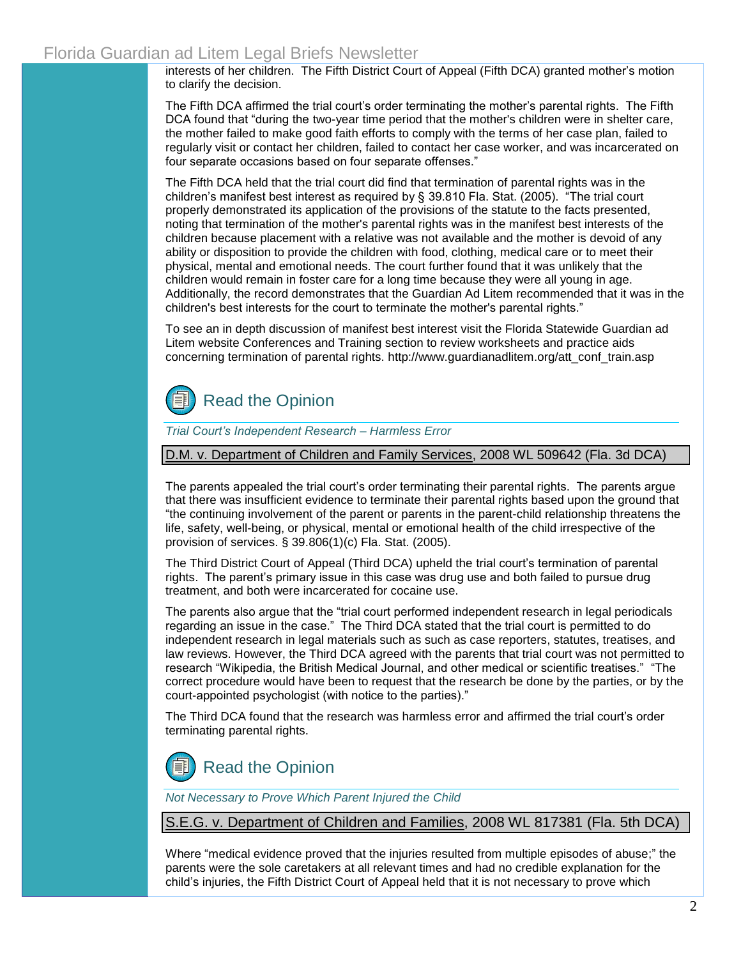interests of her children. The Fifth District Court of Appeal (Fifth DCA) granted mother"s motion to clarify the decision.

The Fifth DCA affirmed the trial court's order terminating the mother's parental rights. The Fifth DCA found that "during the two-year time period that the mother's children were in shelter care, the mother failed to make good faith efforts to comply with the terms of her case plan, failed to regularly visit or contact her children, failed to contact her case worker, and was incarcerated on four separate occasions based on four separate offenses."

The Fifth DCA held that the trial court did find that termination of parental rights was in the children"s manifest best interest as required by § [39.810 Fla. Stat. \(2005\).](http://www.flsenate.gov/Statutes/index.cfm?App_mode=Display_Statute&Search_String=&URL=Ch0039/SEC810.HTM&Title=->2007->Ch0039->Section%20810#0039.810) "The trial court properly demonstrated its application of the provisions of the statute to the facts presented, noting that termination of the mother's parental rights was in the manifest best interests of the children because placement with a relative was not available and the mother is devoid of any ability or disposition to provide the children with food, clothing, medical care or to meet their physical, mental and emotional needs. The court further found that it was unlikely that the children would remain in foster care for a long time because they were all young in age. Additionally, the record demonstrates that the Guardian Ad Litem recommended that it was in the children's best interests for the court to terminate the mother's parental rights."

To see an in depth discussion of manifest best interest visit the [Florida Statewide Guardian ad](http://www.guardianadlitem.org/att_conf_train.asp)  [Litem website Conferences and Training](http://www.guardianadlitem.org/att_conf_train.asp) section to review worksheets and practice aids concerning termination of parental rights. [http://www.guardianadlitem.org/att\\_conf\\_train.asp](http://www.guardianadlitem.org/att_conf_train.asp)



*Trial Court's Independent Research – Harmless Error*

D.M. v. Department of Children and Family Services, 2008 WL 509642 (Fla. 3d DCA)

The parents appealed the trial court"s order terminating their parental rights. The parents argue that there was insufficient evidence to terminate their parental rights based upon the ground that "the continuing involvement of the parent or parents in the parent-child relationship threatens the life, safety, well-being, or physical, mental or emotional health of the child irrespective of the provision of services. [§ 39.806\(1\)\(c\) Fla. Stat. \(2005\).](http://www.flsenate.gov/Statutes/index.cfm?App_mode=Display_Statute&Search_String=&URL=Ch0039/SEC806.HTM&Title=->2007->Ch0039->Section%20806#0039.806)

The Third District Court of Appeal (Third DCA) upheld the trial court"s termination of parental rights. The parent"s primary issue in this case was drug use and both failed to pursue drug treatment, and both were incarcerated for cocaine use.

The parents also argue that the "trial court performed independent research in legal periodicals regarding an issue in the case." The Third DCA stated that the trial court is permitted to do independent research in legal materials such as such as case reporters, statutes, treatises, and law reviews. However, the Third DCA agreed with the parents that trial court was not permitted to research "Wikipedia, the British Medical Journal, and other medical or scientific treatises." "The correct procedure would have been to request that the research be done by the parties, or by the court-appointed psychologist (with notice to the parties)."

The Third DCA found that the research was harmless error and affirmed the trial court"s order terminating parental rights.



*Not Necessary to Prove Which Parent Injured the Child*

S.E.G. v. Department of Children and Families, 2008 WL 817381 (Fla. 5th DCA)

Where "medical evidence proved that the injuries resulted from multiple episodes of abuse;" the parents were the sole caretakers at all relevant times and had no credible explanation for the child"s injuries, the Fifth District Court of Appeal held that it is not necessary to prove which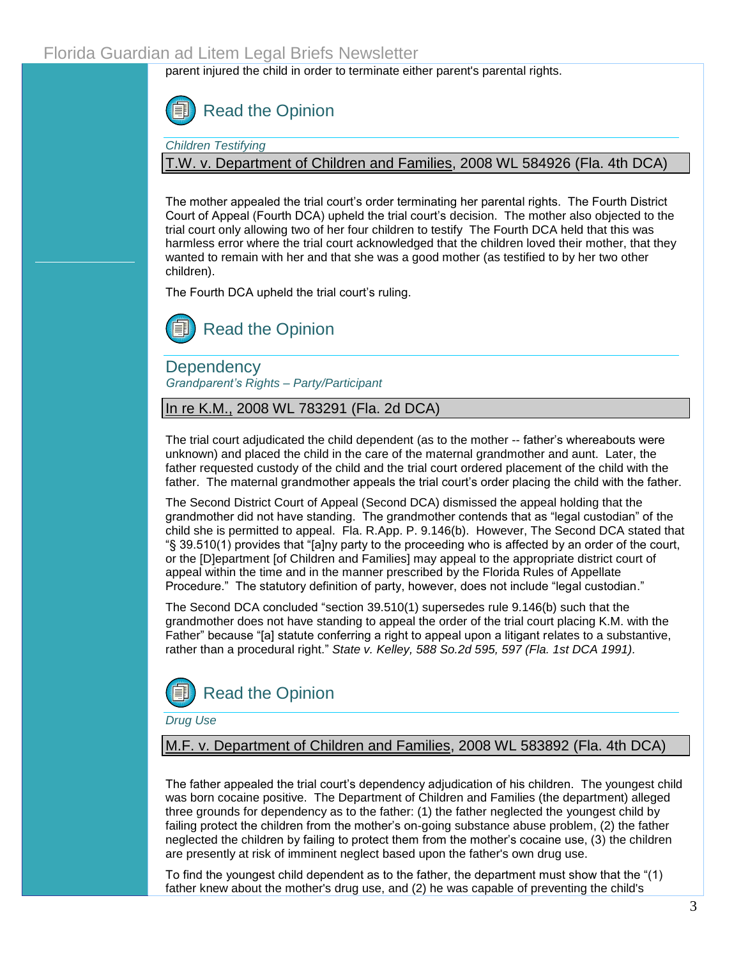parent injured the child in order to terminate either parent's parental rights.



*Children Testifying*

T.W. v. Department of Children and Families, 2008 WL 584926 (Fla. 4th DCA)

The mother appealed the trial court's order terminating her parental rights. The Fourth District Court of Appeal (Fourth DCA) upheld the trial court"s decision. The mother also objected to the trial court only allowing two of her four children to testify The Fourth DCA held that this was harmless error where the trial court acknowledged that the children loved their mother, that they wanted to remain with her and that she was a good mother (as testified to by her two other children).

The Fourth DCA upheld the trial court's ruling.

[Read the Opinion](http://www.4dca.org/Mar2008/03-05-08/4D07-4781.op.pdf)

**Dependency** *Grandparent's Rights – Party/Participant*

In re K.M., 2008 WL 783291 (Fla. 2d DCA)

The trial court adjudicated the child dependent (as to the mother -- father"s whereabouts were unknown) and placed the child in the care of the maternal grandmother and aunt. Later, the father requested custody of the child and the trial court ordered placement of the child with the father. The maternal grandmother appeals the trial court's order placing the child with the father.

The Second District Court of Appeal (Second DCA) dismissed the appeal holding that the grandmother did not have standing. The grandmother contends that as "legal custodian" of the child she is permitted to appeal. [Fla. R.App. P. 9.146\(b\).](http://www.guardianadlitem.org/documents/300Appellate.pdf) However, The Second DCA stated that "§ [39.510\(1\) p](http://www.flsenate.gov/Statutes/index.cfm?App_mode=Display_Statute&Search_String=&URL=Ch0039/SEC510.HTM&Title=->2007->Ch0039->Section%20510#0039.510)rovides that "[a]ny party to the proceeding who is affected by an order of the court, or the [D]epartment [of Children and Families] may appeal to the appropriate district court of appeal within the time and in the manner prescribed by the [Florida Rules of Appellate](http://www.guardianadlitem.org/documents/300Appellate.pdf)  [Procedure."](http://www.guardianadlitem.org/documents/300Appellate.pdf) The statutory definition of party, however, does not include "legal custodian."

The Second DCA concluded "[section 39.510\(1\)](http://www.flsenate.gov/Statutes/index.cfm?App_mode=Display_Statute&Search_String=&URL=Ch0039/SEC510.HTM&Title=->2007->Ch0039->Section%20510#0039.510) supersede[s rule 9.146\(b\)](http://www.guardianadlitem.org/documents/300Appellate.pdf) such that the grandmother does not have standing to appeal the order of the trial court placing K.M. with the Father" because "[a] statute conferring a right to appeal upon a litigant relates to a substantive, rather than a procedural right." *State v. Kelley, 588 So.2d 595, 597 (Fla. 1st DCA 1991).*



*Drug Use*

M.F. v. Department of Children and Families, 2008 WL 583892 (Fla. 4th DCA)

The father appealed the trial court"s dependency adjudication of his children. The youngest child was born cocaine positive. The Department of Children and Families (the department) alleged three grounds for dependency as to the father: (1) the father neglected the youngest child by failing protect the children from the mother"s on-going substance abuse problem, (2) the father neglected the children by failing to protect them from the mother"s cocaine use, (3) the children are presently at risk of imminent neglect based upon the father's own drug use.

To find the youngest child dependent as to the father, the department must show that the "(1) father knew about the mother's drug use, and (2) he was capable of preventing the child's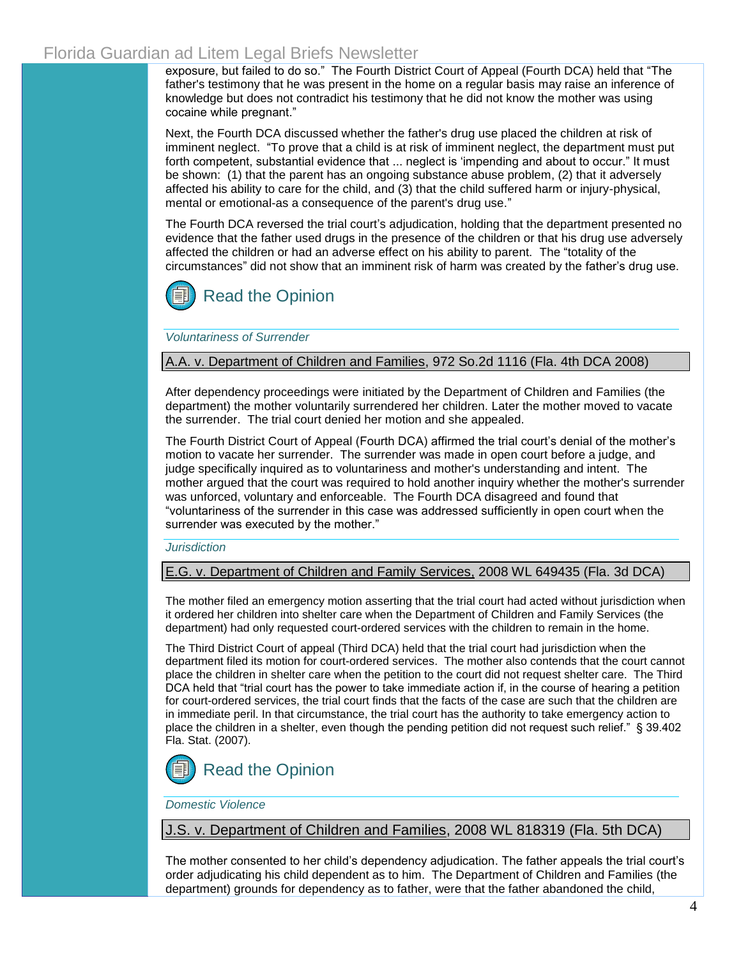exposure, but failed to do so." The Fourth District Court of Appeal (Fourth DCA) held that "The father's testimony that he was present in the home on a regular basis may raise an inference of knowledge but does not contradict his testimony that he did not know the mother was using cocaine while pregnant."

Next, the Fourth DCA discussed whether the father's drug use placed the children at risk of imminent neglect. "To prove that a child is at risk of imminent neglect, the department must put forth competent, substantial evidence that ... neglect is "impending and about to occur." It must be shown: (1) that the parent has an ongoing substance abuse problem, (2) that it adversely affected his ability to care for the child, and (3) that the child suffered harm or injury-physical, mental or emotional-as a consequence of the parent's drug use."

The Fourth DCA reversed the trial court's adjudication, holding that the department presented no evidence that the father used drugs in the presence of the children or that his drug use adversely affected the children or had an adverse effect on his ability to parent. The "totality of the circumstances" did not show that an imminent risk of harm was created by the father"s drug use.



*Voluntariness of Surrender*

## A.A. v. Department of Children and Families, 972 So.2d 1116 (Fla. 4th DCA 2008)

After dependency proceedings were initiated by the Department of Children and Families (the department) the mother voluntarily surrendered her children. Later the mother moved to vacate the surrender. The trial court denied her motion and she appealed.

The Fourth District Court of Appeal (Fourth DCA) affirmed the trial court's denial of the mother's motion to vacate her surrender. The surrender was made in open court before a judge, and judge specifically inquired as to voluntariness and mother's understanding and intent. The mother argued that the court was required to hold another inquiry whether the mother's surrender was unforced, voluntary and enforceable. The Fourth DCA disagreed and found that "voluntariness of the surrender in this case was addressed sufficiently in open court when the surrender was executed by the mother."

#### *Jurisdiction*

E.G. v. Department of Children and Family Services, 2008 WL 649435 (Fla. 3d DCA)

The mother filed an emergency motion asserting that the trial court had acted without jurisdiction when it ordered her children into shelter care when the Department of Children and Family Services (the department) had only requested court-ordered services with the children to remain in the home.

The Third District Court of appeal (Third DCA) held that the trial court had jurisdiction when the department filed its motion for court-ordered services. The mother also contends that the court cannot place the children in shelter care when the petition to the court did not request shelter care. The Third DCA held that "trial court has the power to take immediate action if, in the course of hearing a petition for court-ordered services, the trial court finds that the facts of the case are such that the children are in immediate peril. In that circumstance, the trial court has the authority to take emergency action to place the children in a shelter, even though the pending petition did not request such relief." [§ 39.402](http://www.flsenate.gov/Statutes/index.cfm?App_mode=Display_Statute&Search_String=&URL=Ch0039/SEC402.HTM&Title=->2007->Ch0039->Section%20402#0039.402)  [Fla. Stat. \(2007\).](http://www.flsenate.gov/Statutes/index.cfm?App_mode=Display_Statute&Search_String=&URL=Ch0039/SEC402.HTM&Title=->2007->Ch0039->Section%20402#0039.402) 



### *Domestic Violence*

J.S. v. Department of Children and Families, 2008 WL 818319 (Fla. 5th DCA)

The mother consented to her child"s dependency adjudication. The father appeals the trial court"s order adjudicating his child dependent as to him. The Department of Children and Families (the department) grounds for dependency as to father, were that the father abandoned the child,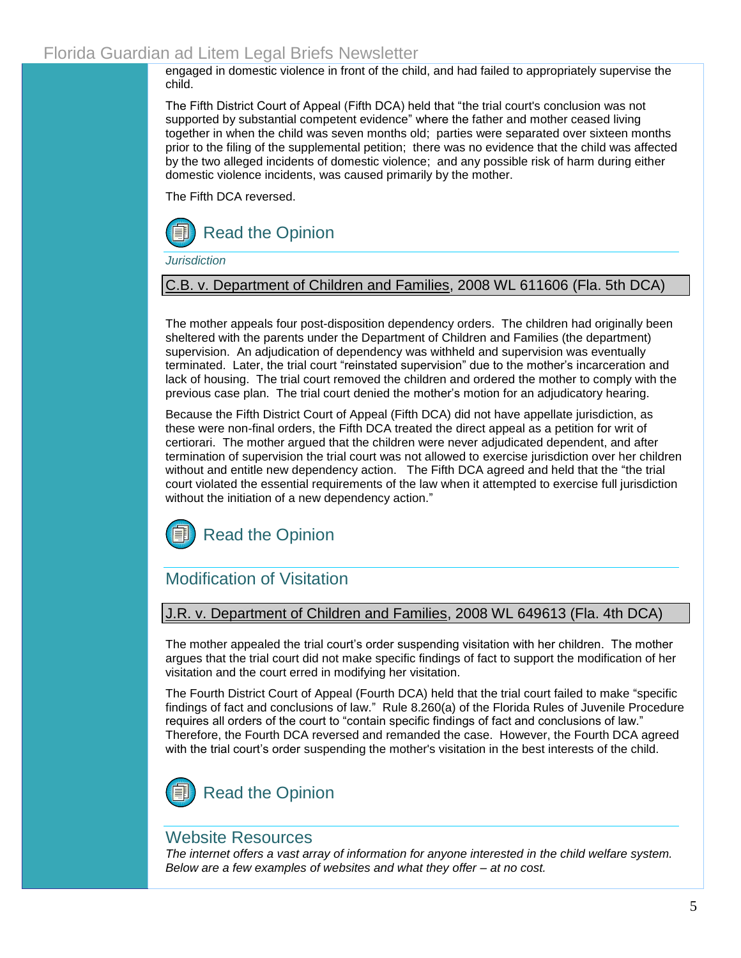engaged in domestic violence in front of the child, and had failed to appropriately supervise the child.

The Fifth District Court of Appeal (Fifth DCA) held that "the trial court's conclusion was not supported by substantial competent evidence" where the father and mother ceased living together in when the child was seven months old; parties were separated over sixteen months prior to the filing of the supplemental petition; there was no evidence that the child was affected by the two alleged incidents of domestic violence; and any possible risk of harm during either domestic violence incidents, was caused primarily by the mother.

The Fifth DCA reversed.



*Jurisdiction*

# C.B. v. Department of Children and Families, 2008 WL 611606 (Fla. 5th DCA)

The mother appeals four post-disposition dependency orders. The children had originally been sheltered with the parents under the Department of Children and Families (the department) supervision. An adjudication of dependency was withheld and supervision was eventually terminated. Later, the trial court "reinstated supervision" due to the mother"s incarceration and lack of housing. The trial court removed the children and ordered the mother to comply with the previous case plan. The trial court denied the mother"s motion for an adjudicatory hearing.

Because the Fifth District Court of Appeal (Fifth DCA) did not have appellate jurisdiction, as these were non-final orders, the Fifth DCA treated the direct appeal as a petition for writ of certiorari. The mother argued that the children were never adjudicated dependent, and after termination of supervision the trial court was not allowed to exercise jurisdiction over her children without and entitle new dependency action. The Fifth DCA agreed and held that the "the trial court violated the essential requirements of the law when it attempted to exercise full jurisdiction without the initiation of a new dependency action."



# Modification of Visitation

# J.R. v. Department of Children and Families, 2008 WL 649613 (Fla. 4th DCA)

The mother appealed the trial court"s order suspending visitation with her children. The mother argues that the trial court did not make specific findings of fact to support the modification of her visitation and the court erred in modifying her visitation.

The Fourth District Court of Appeal (Fourth DCA) held that the trial court failed to make "specific findings of fact and conclusions of law." [Rule 8.260\(a\) of the Florida Rules of Juvenile Procedure](http://www.guardianadlitem.org/documents/2008Juvenile20Rules.pdf)  requires all orders of the court to "contain specific findings of fact and conclusions of law." Therefore, the Fourth DCA reversed and remanded the case. However, the Fourth DCA agreed with the trial court"s order suspending the mother's visitation in the best interests of the child.



# Website Resources

*The internet offers a vast array of information for anyone interested in the child welfare system. Below are a few examples of websites and what they offer – at no cost.*